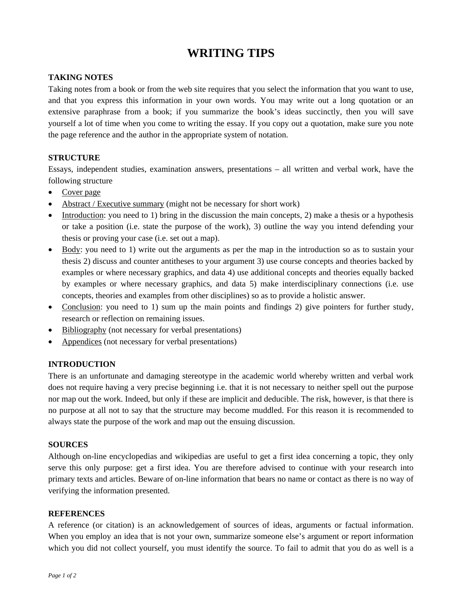# **WRITING TIPS**

## **TAKING NOTES**

Taking notes from a book or from the web site requires that you select the information that you want to use, and that you express this information in your own words. You may write out a long quotation or an extensive paraphrase from a book; if you summarize the book's ideas succinctly, then you will save yourself a lot of time when you come to writing the essay. If you copy out a quotation, make sure you note the page reference and the author in the appropriate system of notation.

## **STRUCTURE**

Essays, independent studies, examination answers, presentations – all written and verbal work, have the following structure

- Cover page
- Abstract / Executive summary (might not be necessary for short work)
- Introduction: you need to 1) bring in the discussion the main concepts, 2) make a thesis or a hypothesis or take a position (i.e. state the purpose of the work), 3) outline the way you intend defending your thesis or proving your case (i.e. set out a map).
- Body: you need to 1) write out the arguments as per the map in the introduction so as to sustain your thesis 2) discuss and counter antitheses to your argument 3) use course concepts and theories backed by examples or where necessary graphics, and data 4) use additional concepts and theories equally backed by examples or where necessary graphics, and data 5) make interdisciplinary connections (i.e. use concepts, theories and examples from other disciplines) so as to provide a holistic answer.
- Conclusion: you need to 1) sum up the main points and findings 2) give pointers for further study, research or reflection on remaining issues.
- Bibliography (not necessary for verbal presentations)
- Appendices (not necessary for verbal presentations)

## **INTRODUCTION**

There is an unfortunate and damaging stereotype in the academic world whereby written and verbal work does not require having a very precise beginning i.e. that it is not necessary to neither spell out the purpose nor map out the work. Indeed, but only if these are implicit and deducible. The risk, however, is that there is no purpose at all not to say that the structure may become muddled. For this reason it is recommended to always state the purpose of the work and map out the ensuing discussion.

#### **SOURCES**

Although on-line encyclopedias and wikipedias are useful to get a first idea concerning a topic, they only serve this only purpose: get a first idea. You are therefore advised to continue with your research into primary texts and articles. Beware of on-line information that bears no name or contact as there is no way of verifying the information presented.

## **REFERENCES**

A reference (or citation) is an acknowledgement of sources of ideas, arguments or factual information. When you employ an idea that is not your own, summarize someone else's argument or report information which you did not collect yourself, you must identify the source. To fail to admit that you do as well is a